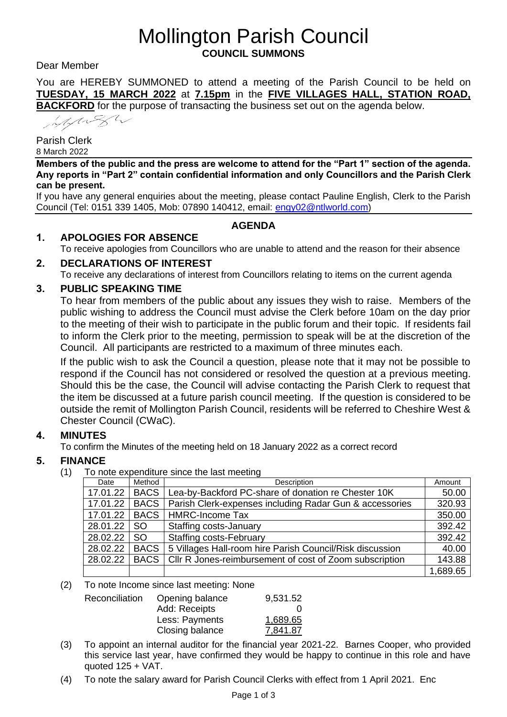# Mollington Parish Council **COUNCIL SUMMONS**

Dear Member

You are HEREBY SUMMONED to attend a meeting of the Parish Council to be held on **TUESDAY, 15 MARCH 2022** at **7.15pm** in the **FIVE VILLAGES HALL, STATION ROAD, BACKFORD** for the purpose of transacting the business set out on the agenda below.

Marga

Parish Clerk 8 March 2022

**Members of the public and the press are welcome to attend for the "Part 1" section of the agenda. Any reports in "Part 2" contain confidential information and only Councillors and the Parish Clerk can be present.**

If you have any general enquiries about the meeting, please contact Pauline English, Clerk to the Parish Council (Tel: 0151 339 1405, Mob: 07890 140412, email: [engy02@ntlworld.com\)](mailto:engy02@ntlworld.com)

# **AGENDA**

# **1. APOLOGIES FOR ABSENCE**

To receive apologies from Councillors who are unable to attend and the reason for their absence

# **2. DECLARATIONS OF INTEREST**

To receive any declarations of interest from Councillors relating to items on the current agenda

# **3. PUBLIC SPEAKING TIME**

To hear from members of the public about any issues they wish to raise. Members of the public wishing to address the Council must advise the Clerk before 10am on the day prior to the meeting of their wish to participate in the public forum and their topic. If residents fail to inform the Clerk prior to the meeting, permission to speak will be at the discretion of the Council. All participants are restricted to a maximum of three minutes each.

If the public wish to ask the Council a question, please note that it may not be possible to respond if the Council has not considered or resolved the question at a previous meeting. Should this be the case, the Council will advise contacting the Parish Clerk to request that the item be discussed at a future parish council meeting. If the question is considered to be outside the remit of Mollington Parish Council, residents will be referred to Cheshire West & Chester Council (CWaC).

# **4. MINUTES**

To confirm the Minutes of the meeting held on 18 January 2022 as a correct record

# **5. FINANCE**

(1) To note expenditure since the last meeting

| Date     | Method      | Description                                              | Amount   |
|----------|-------------|----------------------------------------------------------|----------|
| 17.01.22 | <b>BACS</b> | Lea-by-Backford PC-share of donation re Chester 10K      | 50.00    |
| 17.01.22 | <b>BACS</b> | Parish Clerk-expenses including Radar Gun & accessories  | 320.93   |
| 17.01.22 | <b>BACS</b> | <b>HMRC-Income Tax</b>                                   | 350.00   |
| 28.01.22 | SO.         | Staffing costs-January                                   | 392.42   |
| 28.02.22 | SO.         | <b>Staffing costs-February</b>                           | 392.42   |
| 28.02.22 | <b>BACS</b> | 5 Villages Hall-room hire Parish Council/Risk discussion | 40.00    |
| 28.02.22 | <b>BACS</b> | Cllr R Jones-reimbursement of cost of Zoom subscription  | 143.88   |
|          |             |                                                          | 1,689.65 |

(2) To note Income since last meeting: None

| Reconciliation | Opening balance<br>Add: Receipts | 9,531.52 |
|----------------|----------------------------------|----------|
|                | Less: Payments                   | 1,689.65 |
|                | Closing balance                  | 7,841.87 |

- (3) To appoint an internal auditor for the financial year 2021-22. Barnes Cooper, who provided this service last year, have confirmed they would be happy to continue in this role and have quoted  $125 + \text{VAT}$ .
- (4) To note the salary award for Parish Council Clerks with effect from 1 April 2021. Enc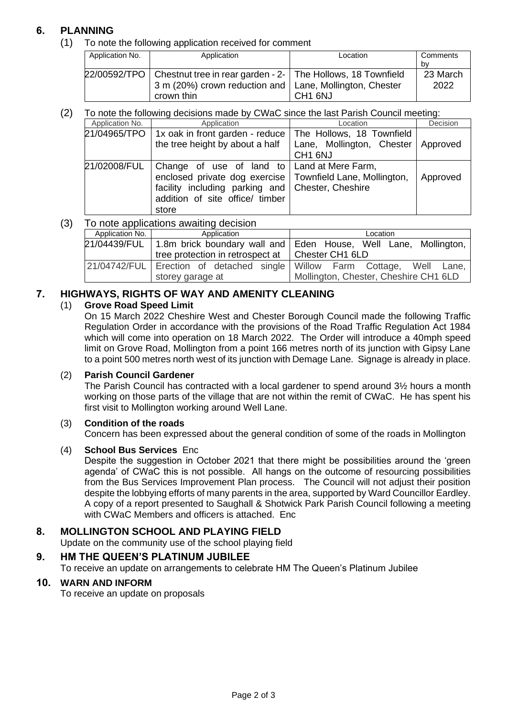# **6. PLANNING**

(1) To note the following application received for comment

| Application No. | Application                                                                                                                                             | Location            | Comments<br>bv   |
|-----------------|---------------------------------------------------------------------------------------------------------------------------------------------------------|---------------------|------------------|
|                 | 22/00592/TPO   Chestnut tree in rear garden - 2-   The Hollows, 18 Townfield<br>3 m (20%) crown reduction and   Lane, Mollington, Chester<br>crown thin | CH <sub>1</sub> 6NJ | 23 March<br>2022 |

#### (2) To note the following decisions made by CWaC since the last Parish Council meeting:

|     | Application No. | Application                                                 | Location                  | Decision |
|-----|-----------------|-------------------------------------------------------------|---------------------------|----------|
|     |                 | 21/04965/TPO   1x oak in front garden - reduce              | The Hollows, 18 Townfield |          |
|     |                 | the tree height by about a half                             | Lane, Mollington, Chester | Approved |
|     |                 |                                                             | CH <sub>1</sub> 6NJ       |          |
|     | 21/02008/FUL    | Change of use of land to   Land at Mere Farm,               |                           |          |
|     |                 | enclosed private dog exercise   Townfield Lane, Mollington, |                           | Approved |
|     |                 | facility including parking and   Chester, Cheshire          |                           |          |
|     |                 | addition of site office/ timber                             |                           |          |
|     |                 | store                                                       |                           |          |
| (3) |                 | To note applications awaiting decision                      |                           |          |

| ╯, | <b>I'D HOTO GPPHOGHOHO GWAHHIY GOOIOIOH</b> |                                                    |                                                                                |
|----|---------------------------------------------|----------------------------------------------------|--------------------------------------------------------------------------------|
|    | Application No.                             | Application                                        | Location                                                                       |
|    |                                             |                                                    | 21/04439/FUL   1.8m brick boundary wall and Eden House, Well Lane, Mollington, |
|    |                                             | tree protection in retrospect at   Chester CH1 6LD |                                                                                |
|    |                                             |                                                    | 21/04742/FUL Erection of detached single Willow Farm Cottage, Well Lane,       |
|    |                                             | storey garage at                                   | Mollington, Chester, Cheshire CH1 6LD                                          |
|    |                                             |                                                    |                                                                                |

# **7. HIGHWAYS, RIGHTS OF WAY AND AMENITY CLEANING**

### (1) **Grove Road Speed Limit**

On 15 March 2022 Cheshire West and Chester Borough Council made the following Traffic Regulation Order in accordance with the provisions of the Road Traffic Regulation Act 1984 which will come into operation on 18 March 2022. The Order will introduce a 40mph speed limit on Grove Road, Mollington from a point 166 metres north of its junction with Gipsy Lane to a point 500 metres north west of its junction with Demage Lane. Signage is already in place.

#### (2) **Parish Council Gardener**

The Parish Council has contracted with a local gardener to spend around 3½ hours a month working on those parts of the village that are not within the remit of CWaC. He has spent his first visit to Mollington working around Well Lane.

#### (3) **Condition of the roads**

Concern has been expressed about the general condition of some of the roads in Mollington

#### (4) **School Bus Services** Enc

Despite the suggestion in October 2021 that there might be possibilities around the 'green agenda' of CWaC this is not possible. All hangs on the outcome of resourcing possibilities from the Bus Services Improvement Plan process. The Council will not adjust their position despite the lobbying efforts of many parents in the area, supported by Ward Councillor Eardley. A copy of a report presented to Saughall & Shotwick Park Parish Council following a meeting with CWaC Members and officers is attached. Enc

### **8. MOLLINGTON SCHOOL AND PLAYING FIELD**

Update on the community use of the school playing field

### **9. HM THE QUEEN'S PLATINUM JUBILEE**

To receive an update on arrangements to celebrate HM The Queen's Platinum Jubilee

### **10. WARN AND INFORM**

To receive an update on proposals